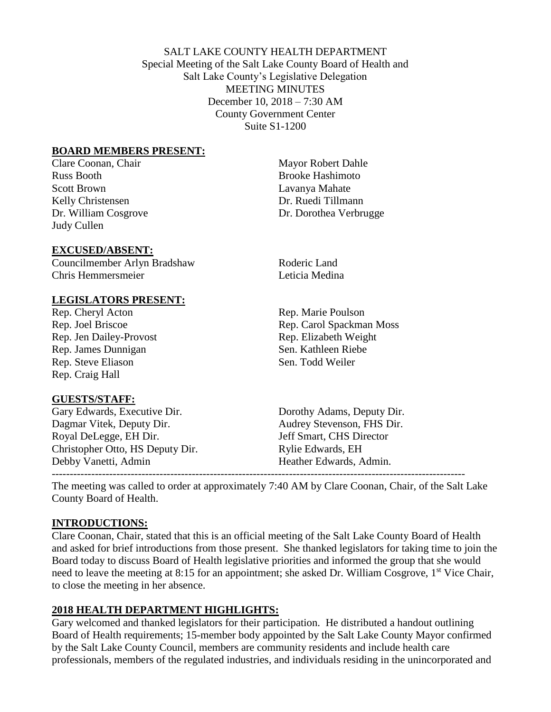SALT LAKE COUNTY HEALTH DEPARTMENT Special Meeting of the Salt Lake County Board of Health and Salt Lake County's Legislative Delegation MEETING MINUTES December 10, 2018 – 7:30 AM County Government Center Suite S1-1200

#### **BOARD MEMBERS PRESENT:**

Russ Booth **Brooke** Hashimoto Scott Brown Lavanya Mahate Kelly Christensen Dr. Ruedi Tillmann Judy Cullen

#### **EXCUSED/ABSENT:**

Councilmember Arlyn Bradshaw Roderic Land **Chris Hemmersmeier** Leticia Medina

### **LEGISLATORS PRESENT:**

Rep. Cheryl Acton Rep. Marie Poulson Rep. Jen Dailey-Provost Rep. Elizabeth Weight Rep. James Dunnigan Sen. Kathleen Riebe Rep. Steve Eliason Sen. Todd Weiler Rep. Craig Hall

### **GUESTS/STAFF:**

Gary Edwards, Executive Dir. Dorothy Adams, Deputy Dir. Dagmar Vitek, Deputy Dir. Audrey Stevenson, FHS Dir. Royal DeLegge, EH Dir. Jeff Smart, CHS Director Christopher Otto, HS Deputy Dir. Rylie Edwards, EH Debby Vanetti, Admin **Heather Edwards, Admin.** 

Clare Coonan, Chair Mayor Robert Dahle Dr. William Cosgrove Dr. Dorothea Verbrugge

Rep. Joel Briscoe Rep. Carol Spackman Moss

The meeting was called to order at approximately 7:40 AM by Clare Coonan, Chair, of the Salt Lake County Board of Health.

-------------------------------------------------------------------------------------------------------------------

### **INTRODUCTIONS:**

Clare Coonan, Chair, stated that this is an official meeting of the Salt Lake County Board of Health and asked for brief introductions from those present. She thanked legislators for taking time to join the Board today to discuss Board of Health legislative priorities and informed the group that she would need to leave the meeting at 8:15 for an appointment; she asked Dr. William Cosgrove, 1<sup>st</sup> Vice Chair, to close the meeting in her absence.

### **2018 HEALTH DEPARTMENT HIGHLIGHTS:**

Gary welcomed and thanked legislators for their participation. He distributed a handout outlining Board of Health requirements; 15-member body appointed by the Salt Lake County Mayor confirmed by the Salt Lake County Council, members are community residents and include health care professionals, members of the regulated industries, and individuals residing in the unincorporated and